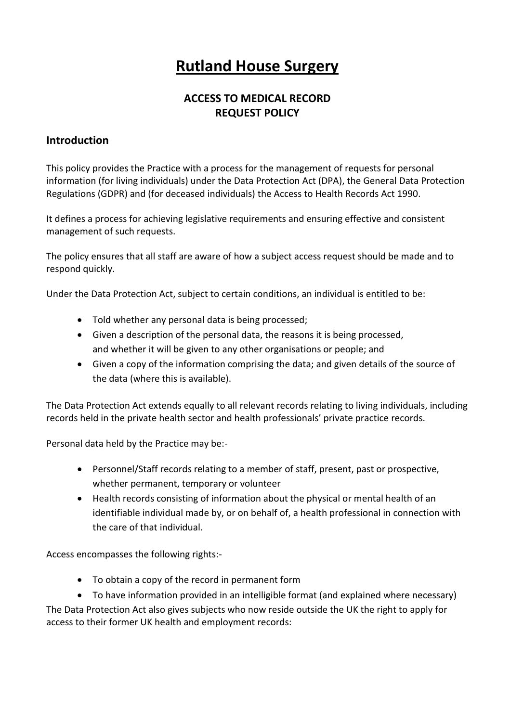# **Rutland House Surgery**

## **ACCESS TO MEDICAL RECORD REQUEST POLICY**

#### **Introduction**

This policy provides the Practice with a process for the management of requests for personal information (for living individuals) under the Data Protection Act (DPA), the General Data Protection Regulations (GDPR) and (for deceased individuals) the Access to Health Records Act 1990.

It defines a process for achieving legislative requirements and ensuring effective and consistent management of such requests.

The policy ensures that all staff are aware of how a subject access request should be made and to respond quickly.

Under the Data Protection Act, subject to certain conditions, an individual is entitled to be:

- Told whether any personal data is being processed;
- Given a description of the personal data, the reasons it is being processed, and whether it will be given to any other organisations or people; and
- Given a copy of the information comprising the data; and given details of the source of the data (where this is available).

The Data Protection Act extends equally to all relevant records relating to living individuals, including records held in the private health sector and health professionals' private practice records.

Personal data held by the Practice may be:-

- Personnel/Staff records relating to a member of staff, present, past or prospective, whether permanent, temporary or volunteer
- Health records consisting of information about the physical or mental health of an identifiable individual made by, or on behalf of, a health professional in connection with the care of that individual.

Access encompasses the following rights:-

- To obtain a copy of the record in permanent form
- To have information provided in an intelligible format (and explained where necessary)

The Data Protection Act also gives subjects who now reside outside the UK the right to apply for access to their former UK health and employment records: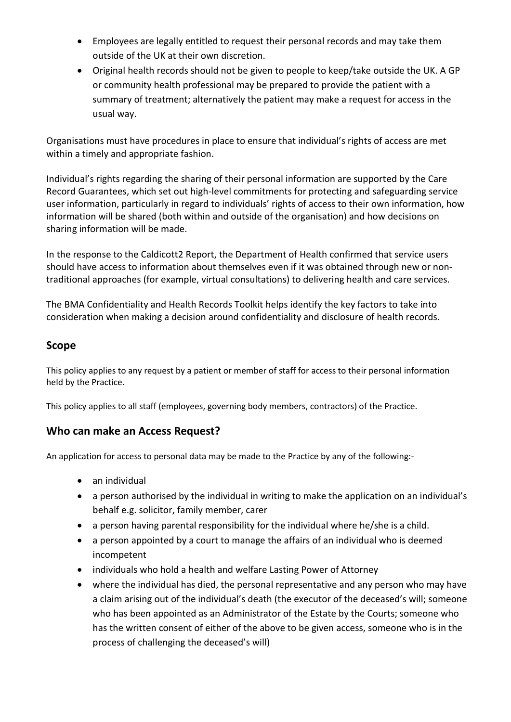- Employees are legally entitled to request their personal records and may take them outside of the UK at their own discretion.
- Original health records should not be given to people to keep/take outside the UK. A GP or community health professional may be prepared to provide the patient with a summary of treatment; alternatively the patient may make a request for access in the usual way.

Organisations must have procedures in place to ensure that individual's rights of access are met within a timely and appropriate fashion.

Individual's rights regarding the sharing of their personal information are supported by the Care Record Guarantees, which set out high-level commitments for protecting and safeguarding service user information, particularly in regard to individuals' rights of access to their own information, how information will be shared (both within and outside of the organisation) and how decisions on sharing information will be made.

In the response to the Caldicott2 Report, the Department of Health confirmed that service users should have access to information about themselves even if it was obtained through new or nontraditional approaches (for example, virtual consultations) to delivering health and care services.

The BMA Confidentiality and Health Records Toolkit helps identify the key factors to take into consideration when making a decision around confidentiality and disclosure of health records.

### **Scope**

This policy applies to any request by a patient or member of staff for access to their personal information held by the Practice.

This policy applies to all staff (employees, governing body members, contractors) of the Practice.

## **Who can make an Access Request?**

An application for access to personal data may be made to the Practice by any of the following:-

- an individual
- a person authorised by the individual in writing to make the application on an individual's behalf e.g. solicitor, family member, carer
- a person having parental responsibility for the individual where he/she is a child.
- a person appointed by a court to manage the affairs of an individual who is deemed incompetent
- individuals who hold a health and welfare Lasting Power of Attorney
- where the individual has died, the personal representative and any person who may have a claim arising out of the individual's death (the executor of the deceased's will; someone who has been appointed as an Administrator of the Estate by the Courts; someone who has the written consent of either of the above to be given access, someone who is in the process of challenging the deceased's will)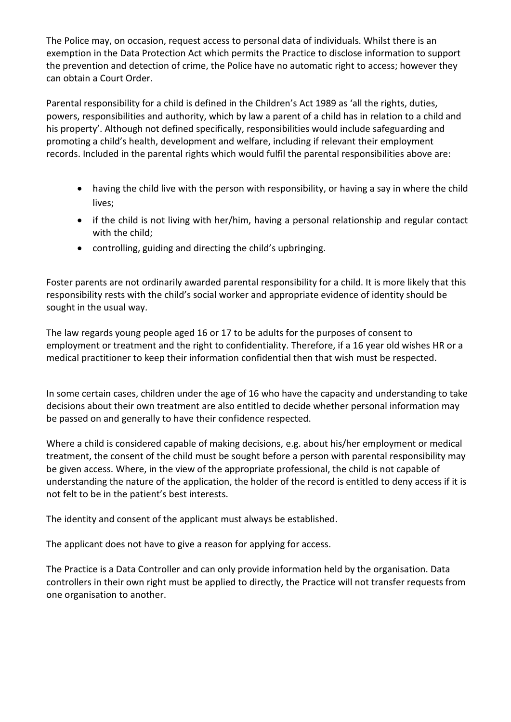The Police may, on occasion, request access to personal data of individuals. Whilst there is an exemption in the Data Protection Act which permits the Practice to disclose information to support the prevention and detection of crime, the Police have no automatic right to access; however they can obtain a Court Order.

Parental responsibility for a child is defined in the Children's Act 1989 as 'all the rights, duties, powers, responsibilities and authority, which by law a parent of a child has in relation to a child and his property'. Although not defined specifically, responsibilities would include safeguarding and promoting a child's health, development and welfare, including if relevant their employment records. Included in the parental rights which would fulfil the parental responsibilities above are:

- having the child live with the person with responsibility, or having a say in where the child lives;
- if the child is not living with her/him, having a personal relationship and regular contact with the child;
- controlling, guiding and directing the child's upbringing.

Foster parents are not ordinarily awarded parental responsibility for a child. It is more likely that this responsibility rests with the child's social worker and appropriate evidence of identity should be sought in the usual way.

The law regards young people aged 16 or 17 to be adults for the purposes of consent to employment or treatment and the right to confidentiality. Therefore, if a 16 year old wishes HR or a medical practitioner to keep their information confidential then that wish must be respected.

In some certain cases, children under the age of 16 who have the capacity and understanding to take decisions about their own treatment are also entitled to decide whether personal information may be passed on and generally to have their confidence respected.

Where a child is considered capable of making decisions, e.g. about his/her employment or medical treatment, the consent of the child must be sought before a person with parental responsibility may be given access. Where, in the view of the appropriate professional, the child is not capable of understanding the nature of the application, the holder of the record is entitled to deny access if it is not felt to be in the patient's best interests.

The identity and consent of the applicant must always be established.

The applicant does not have to give a reason for applying for access.

The Practice is a Data Controller and can only provide information held by the organisation. Data controllers in their own right must be applied to directly, the Practice will not transfer requests from one organisation to another.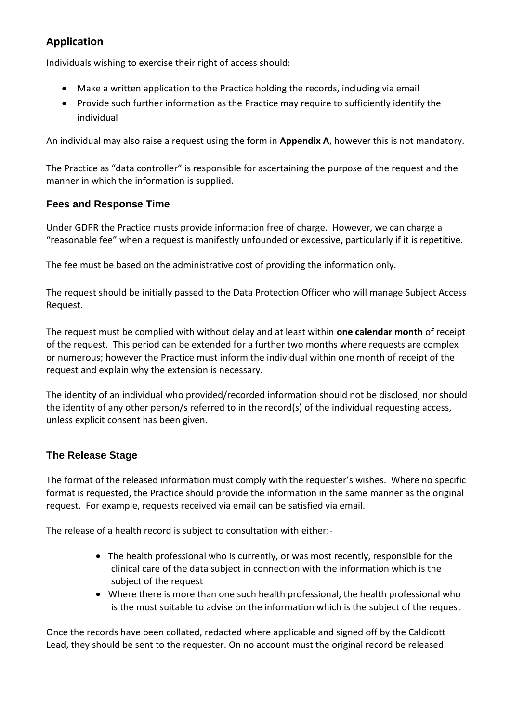## **Application**

Individuals wishing to exercise their right of access should:

- Make a written application to the Practice holding the records, including via email
- Provide such further information as the Practice may require to sufficiently identify the individual

An individual may also raise a request using the form in **Appendix A**, however this is not mandatory.

The Practice as "data controller" is responsible for ascertaining the purpose of the request and the manner in which the information is supplied.

#### **Fees and Response Time**

Under GDPR the Practice musts provide information free of charge. However, we can charge a "reasonable fee" when a request is manifestly unfounded or excessive, particularly if it is repetitive.

The fee must be based on the administrative cost of providing the information only.

The request should be initially passed to the Data Protection Officer who will manage Subject Access Request.

The request must be complied with without delay and at least within **one calendar month** of receipt of the request. This period can be extended for a further two months where requests are complex or numerous; however the Practice must inform the individual within one month of receipt of the request and explain why the extension is necessary.

The identity of an individual who provided/recorded information should not be disclosed, nor should the identity of any other person/s referred to in the record(s) of the individual requesting access, unless explicit consent has been given.

#### **The Release Stage**

The format of the released information must comply with the requester's wishes. Where no specific format is requested, the Practice should provide the information in the same manner as the original request. For example, requests received via email can be satisfied via email.

The release of a health record is subject to consultation with either:-

- The health professional who is currently, or was most recently, responsible for the clinical care of the data subject in connection with the information which is the subject of the request
- Where there is more than one such health professional, the health professional who is the most suitable to advise on the information which is the subject of the request

Once the records have been collated, redacted where applicable and signed off by the Caldicott Lead, they should be sent to the requester. On no account must the original record be released.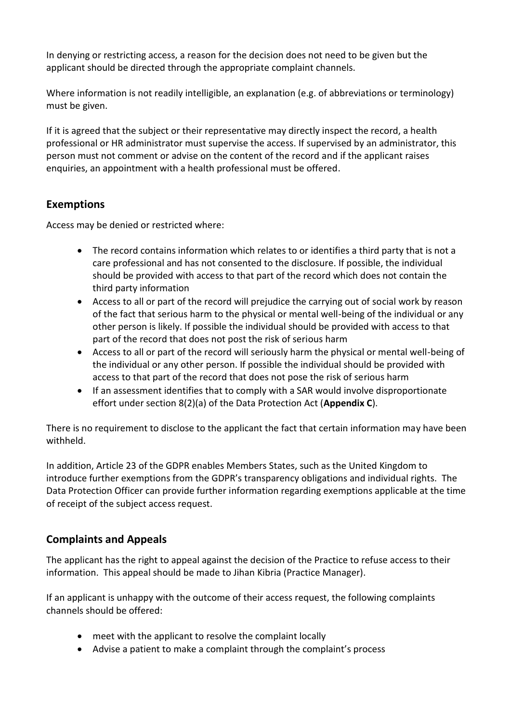In denying or restricting access, a reason for the decision does not need to be given but the applicant should be directed through the appropriate complaint channels.

Where information is not readily intelligible, an explanation (e.g. of abbreviations or terminology) must be given.

If it is agreed that the subject or their representative may directly inspect the record, a health professional or HR administrator must supervise the access. If supervised by an administrator, this person must not comment or advise on the content of the record and if the applicant raises enquiries, an appointment with a health professional must be offered.

## **Exemptions**

Access may be denied or restricted where:

- The record contains information which relates to or identifies a third party that is not a care professional and has not consented to the disclosure. If possible, the individual should be provided with access to that part of the record which does not contain the third party information
- Access to all or part of the record will prejudice the carrying out of social work by reason of the fact that serious harm to the physical or mental well-being of the individual or any other person is likely. If possible the individual should be provided with access to that part of the record that does not post the risk of serious harm
- Access to all or part of the record will seriously harm the physical or mental well-being of the individual or any other person. If possible the individual should be provided with access to that part of the record that does not pose the risk of serious harm
- If an assessment identifies that to comply with a SAR would involve disproportionate effort under section 8(2)(a) of the Data Protection Act (**Appendix C**).

There is no requirement to disclose to the applicant the fact that certain information may have been withheld.

In addition, Article 23 of the GDPR enables Members States, such as the United Kingdom to introduce further exemptions from the GDPR's transparency obligations and individual rights. The Data Protection Officer can provide further information regarding exemptions applicable at the time of receipt of the subject access request.

## **Complaints and Appeals**

The applicant has the right to appeal against the decision of the Practice to refuse access to their information. This appeal should be made to Jihan Kibria (Practice Manager).

If an applicant is unhappy with the outcome of their access request, the following complaints channels should be offered:

- meet with the applicant to resolve the complaint locally
- Advise a patient to make a complaint through the complaint's process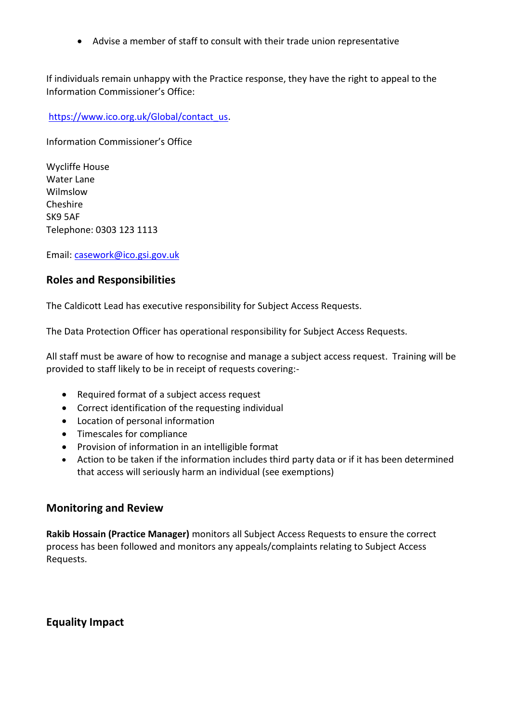Advise a member of staff to consult with their trade union representative

If individuals remain unhappy with the Practice response, they have the right to appeal to the Information Commissioner's Office:

[https://www.ico.org.uk/Global/contact\\_us.](https://www.ico.org.uk/Global/contact_us)

Information Commissioner's Office

Wycliffe House Water Lane Wilmslow Cheshire SK9 5AF Telephone: 0303 123 1113

Email: [casework@ico.gsi.gov.uk](mailto:casework@ico.gsi.gov.uk)

#### **Roles and Responsibilities**

The Caldicott Lead has executive responsibility for Subject Access Requests.

The Data Protection Officer has operational responsibility for Subject Access Requests.

All staff must be aware of how to recognise and manage a subject access request. Training will be provided to staff likely to be in receipt of requests covering:-

- Required format of a subject access request
- Correct identification of the requesting individual
- Location of personal information
- Timescales for compliance
- Provision of information in an intelligible format
- Action to be taken if the information includes third party data or if it has been determined that access will seriously harm an individual (see exemptions)

#### **Monitoring and Review**

**Rakib Hossain (Practice Manager)** monitors all Subject Access Requests to ensure the correct process has been followed and monitors any appeals/complaints relating to Subject Access Requests.

**Equality Impact**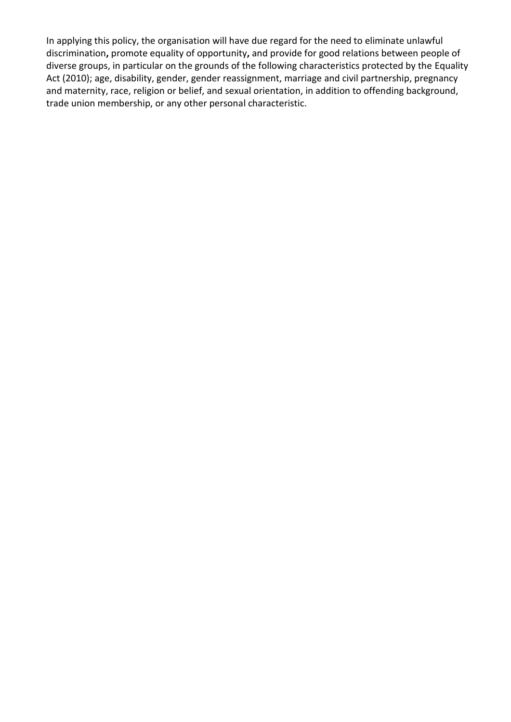In applying this policy, the organisation will have due regard for the need to eliminate unlawful discrimination**,** promote equality of opportunity**,** and provide for good relations between people of diverse groups, in particular on the grounds of the following characteristics protected by the Equality Act (2010); age, disability, gender, gender reassignment, marriage and civil partnership, pregnancy and maternity, race, religion or belief, and sexual orientation, in addition to offending background, trade union membership, or any other personal characteristic.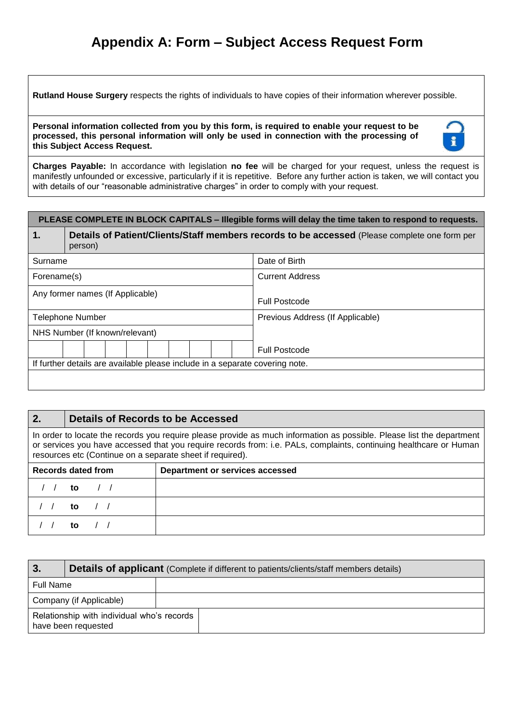## **Appendix A: Form – Subject Access Request Form**

**Rutland House Surgery** respects the rights of individuals to have copies of their information wherever possible.

**Personal information collected from you by this form, is required to enable your request to be processed, this personal information will only be used in connection with the processing of this Subject Access Request.**



**Charges Payable:** In accordance with legislation **no fee** will be charged for your request, unless the request is manifestly unfounded or excessive, particularly if it is repetitive. Before any further action is taken, we will contact you with details of our "reasonable administrative charges" in order to comply with your request.

| PLEASE COMPLETE IN BLOCK CAPITALS - Illegible forms will delay the time taken to respond to requests. |                                                                                                          |  |  |  |  |  |  |
|-------------------------------------------------------------------------------------------------------|----------------------------------------------------------------------------------------------------------|--|--|--|--|--|--|
| 1.                                                                                                    | Details of Patient/Clients/Staff members records to be accessed (Please complete one form per<br>person) |  |  |  |  |  |  |
| Surname                                                                                               | Date of Birth                                                                                            |  |  |  |  |  |  |
| Forename(s)                                                                                           | <b>Current Address</b>                                                                                   |  |  |  |  |  |  |
|                                                                                                       | Any former names (If Applicable)<br><b>Full Postcode</b>                                                 |  |  |  |  |  |  |
| <b>Telephone Number</b>                                                                               | Previous Address (If Applicable)                                                                         |  |  |  |  |  |  |
|                                                                                                       | NHS Number (If known/relevant)                                                                           |  |  |  |  |  |  |
|                                                                                                       | <b>Full Postcode</b>                                                                                     |  |  |  |  |  |  |
| If further details are available please include in a separate covering note.                          |                                                                                                          |  |  |  |  |  |  |
|                                                                                                       |                                                                                                          |  |  |  |  |  |  |

| 2.                                                                                                                                                                                                                                                                                                       | Details of Records to be Accessed |                                 |  |  |  |  |  |  |  |
|----------------------------------------------------------------------------------------------------------------------------------------------------------------------------------------------------------------------------------------------------------------------------------------------------------|-----------------------------------|---------------------------------|--|--|--|--|--|--|--|
| In order to locate the records you require please provide as much information as possible. Please list the department<br>or services you have accessed that you require records from: i.e. PALs, complaints, continuing healthcare or Human<br>resources etc (Continue on a separate sheet if required). |                                   |                                 |  |  |  |  |  |  |  |
|                                                                                                                                                                                                                                                                                                          | Records dated from                | Department or services accessed |  |  |  |  |  |  |  |
|                                                                                                                                                                                                                                                                                                          | to                                |                                 |  |  |  |  |  |  |  |
|                                                                                                                                                                                                                                                                                                          | to.                               |                                 |  |  |  |  |  |  |  |
|                                                                                                                                                                                                                                                                                                          |                                   |                                 |  |  |  |  |  |  |  |

| 3.                                                                |  | <b>Details of applicant</b> (Complete if different to patients/clients/staff members details) |  |  |  |  |  |
|-------------------------------------------------------------------|--|-----------------------------------------------------------------------------------------------|--|--|--|--|--|
| Full Name                                                         |  |                                                                                               |  |  |  |  |  |
| Company (if Applicable)                                           |  |                                                                                               |  |  |  |  |  |
| Relationship with individual who's records<br>have been requested |  |                                                                                               |  |  |  |  |  |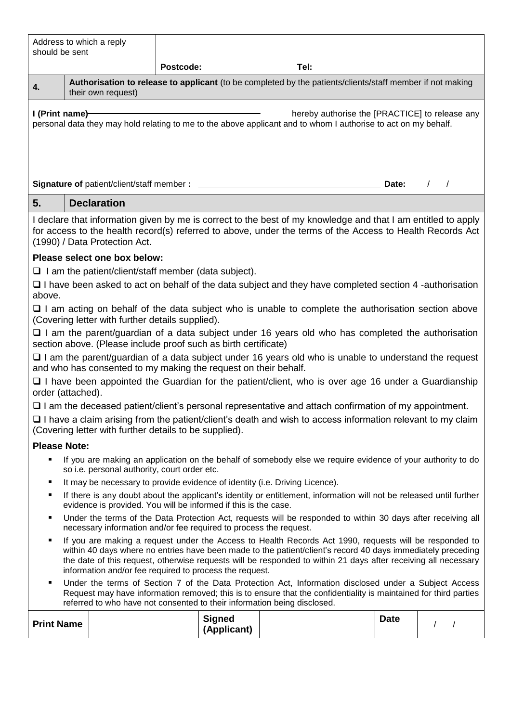| Address to which a reply<br>should be sent                                                                                                                                                                                                                                                                                                                                                              |                                                             |                                                                                                           |                              |                                                                                                              |             |            |  |  |  |  |
|---------------------------------------------------------------------------------------------------------------------------------------------------------------------------------------------------------------------------------------------------------------------------------------------------------------------------------------------------------------------------------------------------------|-------------------------------------------------------------|-----------------------------------------------------------------------------------------------------------|------------------------------|--------------------------------------------------------------------------------------------------------------|-------------|------------|--|--|--|--|
|                                                                                                                                                                                                                                                                                                                                                                                                         |                                                             | Postcode:                                                                                                 |                              | Tel:                                                                                                         |             |            |  |  |  |  |
| 4.                                                                                                                                                                                                                                                                                                                                                                                                      | their own request)                                          | Authorisation to release to applicant (to be completed by the patients/clients/staff member if not making |                              |                                                                                                              |             |            |  |  |  |  |
| I (Print name)<br>hereby authorise the [PRACTICE] to release any<br>personal data they may hold relating to me to the above applicant and to whom I authorise to act on my behalf.                                                                                                                                                                                                                      |                                                             |                                                                                                           |                              |                                                                                                              |             |            |  |  |  |  |
|                                                                                                                                                                                                                                                                                                                                                                                                         |                                                             |                                                                                                           |                              |                                                                                                              | Date:       | $\sqrt{2}$ |  |  |  |  |
| 5.                                                                                                                                                                                                                                                                                                                                                                                                      | <b>Declaration</b>                                          |                                                                                                           |                              |                                                                                                              |             |            |  |  |  |  |
| I declare that information given by me is correct to the best of my knowledge and that I am entitled to apply<br>for access to the health record(s) referred to above, under the terms of the Access to Health Records Act<br>(1990) / Data Protection Act.                                                                                                                                             |                                                             |                                                                                                           |                              |                                                                                                              |             |            |  |  |  |  |
|                                                                                                                                                                                                                                                                                                                                                                                                         | Please select one box below:                                |                                                                                                           |                              |                                                                                                              |             |            |  |  |  |  |
|                                                                                                                                                                                                                                                                                                                                                                                                         | $\Box$ I am the patient/client/staff member (data subject). |                                                                                                           |                              |                                                                                                              |             |            |  |  |  |  |
| $\Box$ I have been asked to act on behalf of the data subject and they have completed section 4 -authorisation<br>above.                                                                                                                                                                                                                                                                                |                                                             |                                                                                                           |                              |                                                                                                              |             |            |  |  |  |  |
|                                                                                                                                                                                                                                                                                                                                                                                                         | (Covering letter with further details supplied).            |                                                                                                           |                              | $\Box$ I am acting on behalf of the data subject who is unable to complete the authorisation section above   |             |            |  |  |  |  |
| $\Box$ I am the parent/guardian of a data subject under 16 years old who has completed the authorisation<br>section above. (Please include proof such as birth certificate)                                                                                                                                                                                                                             |                                                             |                                                                                                           |                              |                                                                                                              |             |            |  |  |  |  |
| $\Box$ I am the parent/guardian of a data subject under 16 years old who is unable to understand the request<br>and who has consented to my making the request on their behalf.                                                                                                                                                                                                                         |                                                             |                                                                                                           |                              |                                                                                                              |             |            |  |  |  |  |
| □ I have been appointed the Guardian for the patient/client, who is over age 16 under a Guardianship<br>order (attached).                                                                                                                                                                                                                                                                               |                                                             |                                                                                                           |                              |                                                                                                              |             |            |  |  |  |  |
|                                                                                                                                                                                                                                                                                                                                                                                                         |                                                             |                                                                                                           |                              | $\Box$ I am the deceased patient/client's personal representative and attach confirmation of my appointment. |             |            |  |  |  |  |
| □ I have a claim arising from the patient/client's death and wish to access information relevant to my claim<br>(Covering letter with further details to be supplied).                                                                                                                                                                                                                                  |                                                             |                                                                                                           |                              |                                                                                                              |             |            |  |  |  |  |
| <b>Please Note:</b>                                                                                                                                                                                                                                                                                                                                                                                     |                                                             |                                                                                                           |                              |                                                                                                              |             |            |  |  |  |  |
| If you are making an application on the behalf of somebody else we require evidence of your authority to do<br>٠<br>so i.e. personal authority, court order etc.                                                                                                                                                                                                                                        |                                                             |                                                                                                           |                              |                                                                                                              |             |            |  |  |  |  |
| It may be necessary to provide evidence of identity (i.e. Driving Licence).<br>٠                                                                                                                                                                                                                                                                                                                        |                                                             |                                                                                                           |                              |                                                                                                              |             |            |  |  |  |  |
| If there is any doubt about the applicant's identity or entitlement, information will not be released until further<br>٠<br>evidence is provided. You will be informed if this is the case.                                                                                                                                                                                                             |                                                             |                                                                                                           |                              |                                                                                                              |             |            |  |  |  |  |
| Under the terms of the Data Protection Act, requests will be responded to within 30 days after receiving all<br>٠<br>necessary information and/or fee required to process the request.                                                                                                                                                                                                                  |                                                             |                                                                                                           |                              |                                                                                                              |             |            |  |  |  |  |
| If you are making a request under the Access to Health Records Act 1990, requests will be responded to<br>٠<br>within 40 days where no entries have been made to the patient/client's record 40 days immediately preceding<br>the date of this request, otherwise requests will be responded to within 21 days after receiving all necessary<br>information and/or fee required to process the request. |                                                             |                                                                                                           |                              |                                                                                                              |             |            |  |  |  |  |
| Under the terms of Section 7 of the Data Protection Act, Information disclosed under a Subject Access<br>٠<br>Request may have information removed; this is to ensure that the confidentiality is maintained for third parties<br>referred to who have not consented to their information being disclosed.                                                                                              |                                                             |                                                                                                           |                              |                                                                                                              |             |            |  |  |  |  |
| <b>Print Name</b>                                                                                                                                                                                                                                                                                                                                                                                       |                                                             |                                                                                                           | <b>Signed</b><br>(Applicant) |                                                                                                              | <b>Date</b> | $\prime$   |  |  |  |  |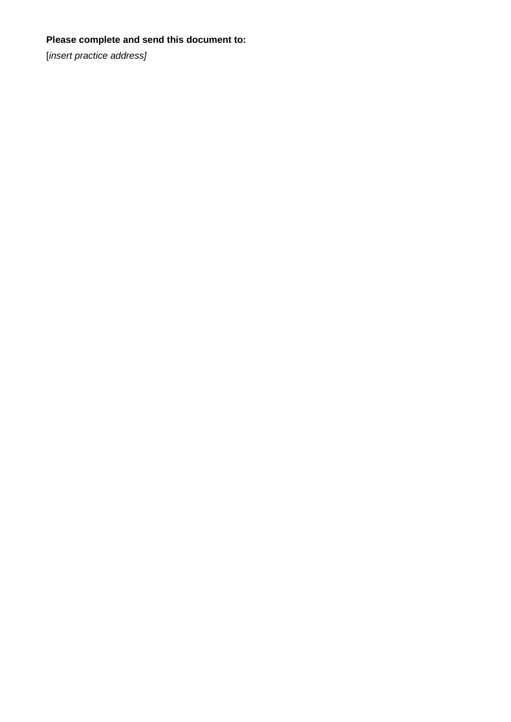## **Please complete and send this document to:**

[*insert practice address]*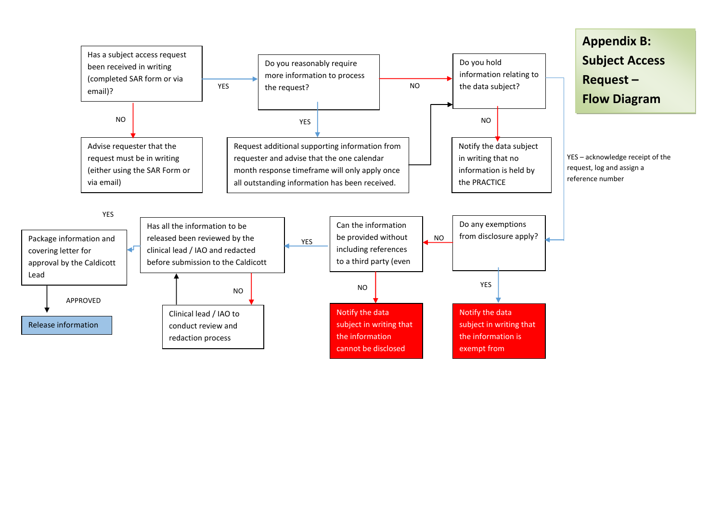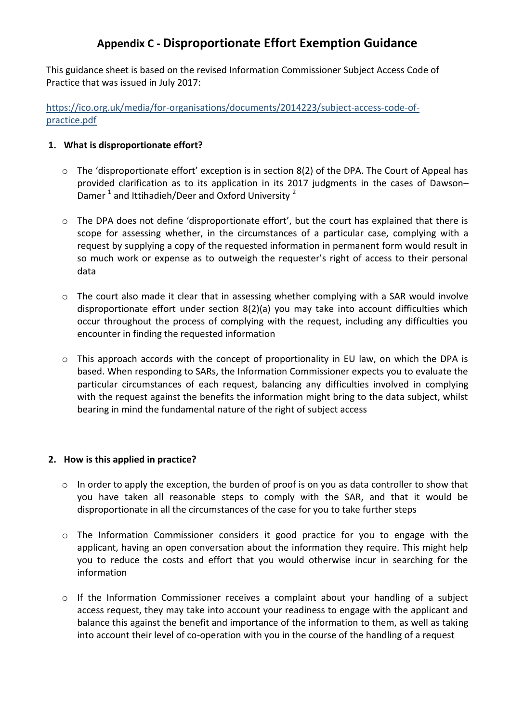## **Appendix C - Disproportionate Effort Exemption Guidance**

This guidance sheet is based on the revised Information Commissioner Subject Access Code of Practice that was issued in July 2017:

[https://ico.org.uk/media/for-organisations/documents/2014223/subject-access-code-of](https://ico.org.uk/media/for-organisations/documents/2014223/subject-access-code-of-practice.pdf)[practice.pdf](https://ico.org.uk/media/for-organisations/documents/2014223/subject-access-code-of-practice.pdf)

#### **1. What is disproportionate effort?**

- o The 'disproportionate effort' exception is in section 8(2) of the DPA. The Court of Appeal has provided clarification as to its application in its 2017 judgments in the cases of Dawson– Damer  $^1$  and Ittihadieh/Deer and Oxford University  $^2$
- $\circ$  The DPA does not define 'disproportionate effort', but the court has explained that there is scope for assessing whether, in the circumstances of a particular case, complying with a request by supplying a copy of the requested information in permanent form would result in so much work or expense as to outweigh the requester's right of access to their personal data
- $\circ$  The court also made it clear that in assessing whether complying with a SAR would involve disproportionate effort under section 8(2)(a) you may take into account difficulties which occur throughout the process of complying with the request, including any difficulties you encounter in finding the requested information
- $\circ$  This approach accords with the concept of proportionality in EU law, on which the DPA is based. When responding to SARs, the Information Commissioner expects you to evaluate the particular circumstances of each request, balancing any difficulties involved in complying with the request against the benefits the information might bring to the data subject, whilst bearing in mind the fundamental nature of the right of subject access

#### **2. How is this applied in practice?**

- $\circ$  In order to apply the exception, the burden of proof is on you as data controller to show that you have taken all reasonable steps to comply with the SAR, and that it would be disproportionate in all the circumstances of the case for you to take further steps
- o The Information Commissioner considers it good practice for you to engage with the applicant, having an open conversation about the information they require. This might help you to reduce the costs and effort that you would otherwise incur in searching for the information
- $\circ$  If the Information Commissioner receives a complaint about your handling of a subject access request, they may take into account your readiness to engage with the applicant and balance this against the benefit and importance of the information to them, as well as taking into account their level of co-operation with you in the course of the handling of a request